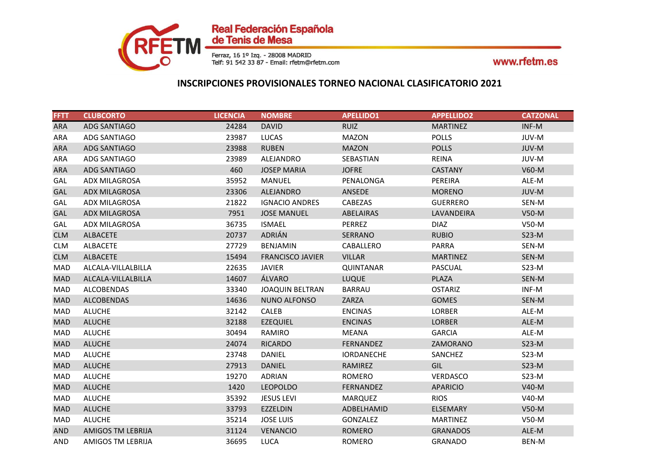

| <b>FFTT</b> | <b>CLUBCORTO</b>     | <b>LICENCIA</b> | <b>NOMBRE</b>           | <b>APELLIDO1</b>  | <b>APPELLIDO2</b> | <b>CATZONAL</b> |
|-------------|----------------------|-----------------|-------------------------|-------------------|-------------------|-----------------|
| <b>ARA</b>  | <b>ADG SANTIAGO</b>  | 24284           | <b>DAVID</b>            | <b>RUIZ</b>       | <b>MARTINEZ</b>   | INF-M           |
| ARA         | ADG SANTIAGO         | 23987           | <b>LUCAS</b>            | <b>MAZON</b>      | <b>POLLS</b>      | JUV-M           |
| <b>ARA</b>  | ADG SANTIAGO         | 23988           | <b>RUBEN</b>            | <b>MAZON</b>      | <b>POLLS</b>      | JUV-M           |
| ARA         | ADG SANTIAGO         | 23989           | ALEJANDRO               | SEBASTIAN         | <b>REINA</b>      | JUV-M           |
| <b>ARA</b>  | ADG SANTIAGO         | 460             | <b>JOSEP MARIA</b>      | <b>JOFRE</b>      | <b>CASTANY</b>    | V60-M           |
| GAL         | ADX MILAGROSA        | 35952           | MANUEL                  | PENALONGA         | PEREIRA           | ALE-M           |
| <b>GAL</b>  | <b>ADX MILAGROSA</b> | 23306           | <b>ALEJANDRO</b>        | ANSEDE            | <b>MORENO</b>     | JUV-M           |
| GAL         | <b>ADX MILAGROSA</b> | 21822           | <b>IGNACIO ANDRES</b>   | CABEZAS           | <b>GUERRERO</b>   | SEN-M           |
| GAL         | <b>ADX MILAGROSA</b> | 7951            | <b>JOSE MANUEL</b>      | ABELAIRAS         | LAVANDEIRA        | $V50-M$         |
| GAL         | ADX MILAGROSA        | 36735           | <b>ISMAEL</b>           | <b>PERREZ</b>     | <b>DIAZ</b>       | $V50-M$         |
| <b>CLM</b>  | <b>ALBACETE</b>      | 20737           | ADRIÁN                  | SERRANO           | <b>RUBIO</b>      | $S23-M$         |
| <b>CLM</b>  | <b>ALBACETE</b>      | 27729           | <b>BENJAMIN</b>         | CABALLERO         | PARRA             | SEN-M           |
| <b>CLM</b>  | <b>ALBACETE</b>      | 15494           | <b>FRANCISCO JAVIER</b> | <b>VILLAR</b>     | <b>MARTINEZ</b>   | SEN-M           |
| <b>MAD</b>  | ALCALA-VILLALBILLA   | 22635           | <b>JAVIER</b>           | <b>QUINTANAR</b>  | <b>PASCUAL</b>    | $S23-M$         |
| <b>MAD</b>  | ALCALA-VILLALBILLA   | 14607           | ÁLVARO                  | LUQUE             | PLAZA             | SEN-M           |
| MAD         | <b>ALCOBENDAS</b>    | 33340           | <b>JOAQUIN BELTRAN</b>  | BARRAU            | <b>OSTARIZ</b>    | INF-M           |
| <b>MAD</b>  | <b>ALCOBENDAS</b>    | 14636           | NUNO ALFONSO            | ZARZA             | <b>GOMES</b>      | SEN-M           |
| MAD         | <b>ALUCHE</b>        | 32142           | CALEB                   | <b>ENCINAS</b>    | <b>LORBER</b>     | ALE-M           |
| <b>MAD</b>  | <b>ALUCHE</b>        | 32188           | <b>EZEQUIEL</b>         | <b>ENCINAS</b>    | <b>LORBER</b>     | ALE-M           |
| MAD         | <b>ALUCHE</b>        | 30494           | RAMIRO                  | <b>MEANA</b>      | <b>GARCIA</b>     | ALE-M           |
| <b>MAD</b>  | <b>ALUCHE</b>        | 24074           | <b>RICARDO</b>          | FERNANDEZ         | ZAMORANO          | $S23-M$         |
| MAD         | <b>ALUCHE</b>        | 23748           | DANIEL                  | <b>IORDANECHE</b> | SANCHEZ           | $S23-M$         |
| <b>MAD</b>  | <b>ALUCHE</b>        | 27913           | <b>DANIEL</b>           | <b>RAMIREZ</b>    | GIL               | $S23-M$         |
| <b>MAD</b>  | <b>ALUCHE</b>        | 19270           | <b>ADRIAN</b>           | ROMERO            | VERDASCO          | $S23-M$         |
| <b>MAD</b>  | <b>ALUCHE</b>        | 1420            | <b>LEOPOLDO</b>         | FERNANDEZ         | <b>APARICIO</b>   | V40-M           |
| MAD         | <b>ALUCHE</b>        | 35392           | <b>JESUS LEVI</b>       | <b>MARQUEZ</b>    | <b>RIOS</b>       | V40-M           |
| <b>MAD</b>  | <b>ALUCHE</b>        | 33793           | EZZELDIN                | ADBELHAMID        | <b>ELSEMARY</b>   | $V50-M$         |
| MAD         | <b>ALUCHE</b>        | 35214           | <b>JOSE LUIS</b>        | <b>GONZALEZ</b>   | <b>MARTINEZ</b>   | $V50-M$         |
| <b>AND</b>  | AMIGOS TM LEBRIJA    | 31124           | <b>VENANCIO</b>         | <b>ROMERO</b>     | <b>GRANADOS</b>   | ALE-M           |
| <b>AND</b>  | AMIGOS TM LEBRIJA    | 36695           | <b>LUCA</b>             | <b>ROMERO</b>     | <b>GRANADO</b>    | <b>BEN-M</b>    |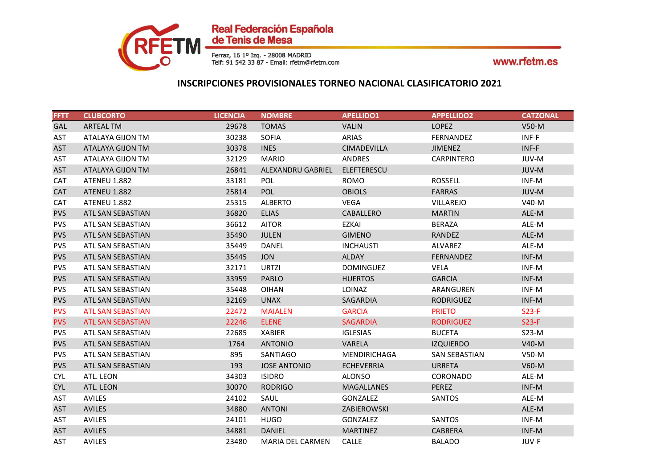

| <b>FFTT</b> | <b>CLUBCORTO</b>         | <b>LICENCIA</b> | <b>NOMBRE</b>       | <b>APELLIDO1</b>    | <b>APPELLIDO2</b>    | <b>CATZONAL</b> |
|-------------|--------------------------|-----------------|---------------------|---------------------|----------------------|-----------------|
| <b>GAL</b>  | <b>ARTEAL TM</b>         | 29678           | <b>TOMAS</b>        | <b>VALIN</b>        | <b>LOPEZ</b>         | $V50-M$         |
| AST         | ATALAYA GIJON TM         | 30238           | <b>SOFIA</b>        | ARIAS               | <b>FERNANDEZ</b>     | INF-F           |
| <b>AST</b>  | <b>ATALAYA GIJON TM</b>  | 30378           | <b>INES</b>         | <b>CIMADEVILLA</b>  | <b>JIMENEZ</b>       | INF-F           |
| AST         | ATALAYA GIJON TM         | 32129           | <b>MARIO</b>        | ANDRES              | <b>CARPINTERO</b>    | JUV-M           |
| <b>AST</b>  | ATALAYA GIJON TM         | 26841           | ALEXANDRU GABRIEL   | ELEFTERESCU         |                      | JUV-M           |
| <b>CAT</b>  | <b>ATENEU 1.882</b>      | 33181           | <b>POL</b>          | <b>ROMO</b>         | <b>ROSSELL</b>       | INF-M           |
| <b>CAT</b>  | <b>ATENEU 1.882</b>      | 25814           | <b>POL</b>          | <b>OBIOLS</b>       | <b>FARRAS</b>        | JUV-M           |
| <b>CAT</b>  | <b>ATENEU 1.882</b>      | 25315           | <b>ALBERTO</b>      | <b>VEGA</b>         | <b>VILLAREJO</b>     | V40-M           |
| <b>PVS</b>  | ATL SAN SEBASTIAN        | 36820           | <b>ELIAS</b>        | CABALLERO           | <b>MARTIN</b>        | ALE-M           |
| <b>PVS</b>  | ATL SAN SEBASTIAN        | 36612           | <b>AITOR</b>        | <b>EZKAI</b>        | <b>BERAZA</b>        | ALE-M           |
| <b>PVS</b>  | ATL SAN SEBASTIAN        | 35490           | <b>JULEN</b>        | <b>GIMENO</b>       | <b>RANDEZ</b>        | ALE-M           |
| <b>PVS</b>  | ATL SAN SEBASTIAN        | 35449           | <b>DANEL</b>        | <b>INCHAUSTI</b>    | <b>ALVAREZ</b>       | ALE-M           |
| <b>PVS</b>  | ATL SAN SEBASTIAN        | 35445           | <b>JON</b>          | <b>ALDAY</b>        | FERNANDEZ            | INF-M           |
| <b>PVS</b>  | ATL SAN SEBASTIAN        | 32171           | URTZI               | <b>DOMINGUEZ</b>    | <b>VELA</b>          | INF-M           |
| <b>PVS</b>  | ATL SAN SEBASTIAN        | 33959           | <b>PABLO</b>        | <b>HUERTOS</b>      | <b>GARCIA</b>        | INF-M           |
| <b>PVS</b>  | ATL SAN SEBASTIAN        | 35448           | <b>OIHAN</b>        | <b>LOINAZ</b>       | ARANGUREN            | INF-M           |
| <b>PVS</b>  | ATL SAN SEBASTIAN        | 32169           | <b>UNAX</b>         | SAGARDIA            | <b>RODRIGUEZ</b>     | INF-M           |
| <b>PVS</b>  | <b>ATL SAN SEBASTIAN</b> | 22472           | <b>MAIALEN</b>      | <b>GARCIA</b>       | <b>PRIETO</b>        | $S23-F$         |
| <b>PVS</b>  | <b>ATL SAN SEBASTIAN</b> | 22246           | <b>ELENE</b>        | <b>SAGARDIA</b>     | <b>RODRIGUEZ</b>     | $S23-F$         |
| <b>PVS</b>  | ATL SAN SEBASTIAN        | 22685           | <b>XABIER</b>       | <b>IGLESIAS</b>     | <b>BUCETA</b>        | $S23-M$         |
| <b>PVS</b>  | ATL SAN SEBASTIAN        | 1764            | <b>ANTONIO</b>      | VARELA              | <b>IZQUIERDO</b>     | $V40-M$         |
| <b>PVS</b>  | ATL SAN SEBASTIAN        | 895             | <b>SANTIAGO</b>     | <b>MENDIRICHAGA</b> | <b>SAN SEBASTIAN</b> | $V50-M$         |
| <b>PVS</b>  | ATL SAN SEBASTIAN        | 193             | <b>JOSE ANTONIO</b> | <b>ECHEVERRIA</b>   | <b>URRETA</b>        | $V60-M$         |
| <b>CYL</b>  | ATL. LEON                | 34303           | <b>ISIDRO</b>       | <b>ALONSO</b>       | CORONADO             | ALE-M           |
| <b>CYL</b>  | ATL. LEON                | 30070           | <b>RODRIGO</b>      | <b>MAGALLANES</b>   | <b>PEREZ</b>         | INF-M           |
| AST         | AVILES                   | 24102           | SAUL                | GONZALEZ            | <b>SANTOS</b>        | ALE-M           |
| <b>AST</b>  | <b>AVILES</b>            | 34880           | <b>ANTONI</b>       | ZABIEROWSKI         |                      | ALE-M           |
| <b>AST</b>  | <b>AVILES</b>            | 24101           | HUGO                | <b>GONZALEZ</b>     | <b>SANTOS</b>        | INF-M           |
| <b>AST</b>  | <b>AVILES</b>            | 34881           | DANIEL              | <b>MARTINEZ</b>     | <b>CABRERA</b>       | INF-M           |
| AST         | <b>AVILES</b>            | 23480           | MARIA DEL CARMEN    | <b>CALLE</b>        | <b>BALADO</b>        | JUV-F           |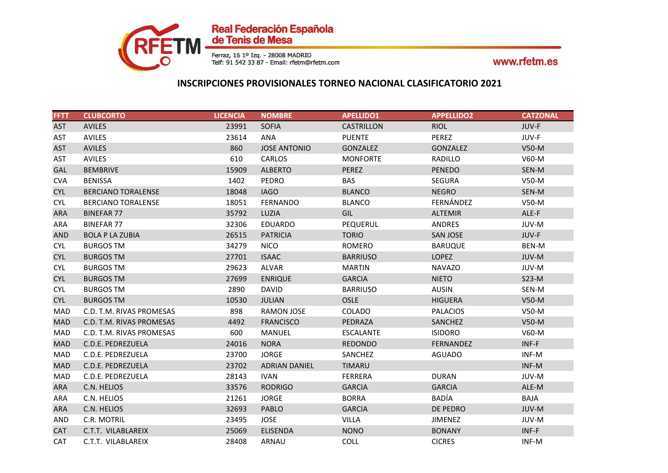

| <b>FFTT</b> | <b>CLUBCORTO</b>          | <b>LICENCIA</b> | <b>NOMBRE</b>        | <b>APELLIDO1</b>  | <b>APPELLIDO2</b> | <b>CATZONAL</b> |
|-------------|---------------------------|-----------------|----------------------|-------------------|-------------------|-----------------|
| <b>AST</b>  | <b>AVILES</b>             | 23991           | <b>SOFIA</b>         | <b>CASTRILLON</b> | <b>RIOL</b>       | JUV-F           |
| AST         | AVILES                    | 23614           | ANA                  | <b>PUENTE</b>     | PEREZ             | JUV-F           |
| <b>AST</b>  | <b>AVILES</b>             | 860             | <b>JOSE ANTONIO</b>  | <b>GONZALEZ</b>   | <b>GONZALEZ</b>   | $V50-M$         |
| AST         | AVILES                    | 610             | CARLOS               | <b>MONFORTE</b>   | RADILLO           | $V60-M$         |
| <b>GAL</b>  | <b>BEMBRIVE</b>           | 15909           | <b>ALBERTO</b>       | PEREZ             | <b>PENEDO</b>     | SEN-M           |
| <b>CVA</b>  | <b>BENISSA</b>            | 1402            | PEDRO                | <b>BAS</b>        | <b>SEGURA</b>     | V50-M           |
| <b>CYL</b>  | <b>BERCIANO TORALENSE</b> | 18048           | <b>IAGO</b>          | <b>BLANCO</b>     | <b>NEGRO</b>      | SEN-M           |
| <b>CYL</b>  | <b>BERCIANO TORALENSE</b> | 18051           | FERNANDO             | <b>BLANCO</b>     | FERNÁNDEZ         | $V50-M$         |
| <b>ARA</b>  | <b>BINEFAR 77</b>         | 35792           | LUZIA                | GIL               | <b>ALTEMIR</b>    | ALE-F           |
| ARA         | <b>BINEFAR 77</b>         | 32306           | <b>EDUARDO</b>       | PEQUERUL          | ANDRES            | JUV-M           |
| <b>AND</b>  | <b>BOLA P LA ZUBIA</b>    | 26515           | <b>PATRICIA</b>      | <b>TORIO</b>      | <b>SAN JOSE</b>   | JUV-F           |
| <b>CYL</b>  | <b>BURGOS TM</b>          | 34279           | <b>NICO</b>          | <b>ROMERO</b>     | <b>BARUQUE</b>    | BEN-M           |
| <b>CYL</b>  | <b>BURGOS TM</b>          | 27701           | <b>ISAAC</b>         | <b>BARRIUSO</b>   | <b>LOPEZ</b>      | JUV-M           |
| <b>CYL</b>  | <b>BURGOS TM</b>          | 29623           | <b>ALVAR</b>         | <b>MARTIN</b>     | <b>NAVAZO</b>     | JUV-M           |
| <b>CYL</b>  | <b>BURGOS TM</b>          | 27699           | <b>ENRIQUE</b>       | <b>GARCIA</b>     | <b>NIETO</b>      | $S23-M$         |
| <b>CYL</b>  | <b>BURGOS TM</b>          | 2890            | <b>DAVID</b>         | <b>BARRIUSO</b>   | <b>AUSIN</b>      | SEN-M           |
| <b>CYL</b>  | <b>BURGOS TM</b>          | 10530           | <b>JULIAN</b>        | <b>OSLE</b>       | <b>HIGUERA</b>    | V50-M           |
| MAD         | C.D. T.M. RIVAS PROMESAS  | 898             | <b>RAMON JOSE</b>    | <b>COLADO</b>     | <b>PALACIOS</b>   | $V50-M$         |
| <b>MAD</b>  | C.D. T.M. RIVAS PROMESAS  | 4492            | <b>FRANCISCO</b>     | PEDRAZA           | SANCHEZ           | $V50-M$         |
| MAD         | C.D. T.M. RIVAS PROMESAS  | 600             | MANUEL               | <b>ESCALANTE</b>  | <b>ISIDORO</b>    | V60-M           |
| <b>MAD</b>  | C.D.E. PEDREZUELA         | 24016           | <b>NORA</b>          | <b>REDONDO</b>    | FERNANDEZ         | INF-F           |
| MAD         | C.D.E. PEDREZUELA         | 23700           | <b>JORGE</b>         | SANCHEZ           | <b>AGUADO</b>     | INF-M           |
| <b>MAD</b>  | C.D.E. PEDREZUELA         | 23702           | <b>ADRIAN DANIEL</b> | <b>TIMARU</b>     |                   | INF-M           |
| <b>MAD</b>  | C.D.E. PEDREZUELA         | 28143           | <b>IVAN</b>          | <b>FERRERA</b>    | <b>DURAN</b>      | JUV-M           |
| <b>ARA</b>  | C.N. HELIOS               | 33576           | <b>RODRIGO</b>       | <b>GARCIA</b>     | <b>GARCIA</b>     | ALE-M           |
| <b>ARA</b>  | C.N. HELIOS               | 21261           | <b>JORGE</b>         | <b>BORRA</b>      | <b>BADÍA</b>      | <b>BAJA</b>     |
| <b>ARA</b>  | C.N. HELIOS               | 32693           | <b>PABLO</b>         | <b>GARCIA</b>     | DE PEDRO          | JUV-M           |
| AND         | C.R. MOTRIL               | 23495           | <b>JOSE</b>          | <b>VILLA</b>      | <b>JIMENEZ</b>    | JUV-M           |
| <b>CAT</b>  | C.T.T. VILABLAREIX        | 25069           | <b>ELISENDA</b>      | <b>NONO</b>       | <b>BONANY</b>     | INF-F           |
| CAT         | C.T.T. VILABLAREIX        | 28408           | ARNAU                | COLL              | <b>CICRES</b>     | INF-M           |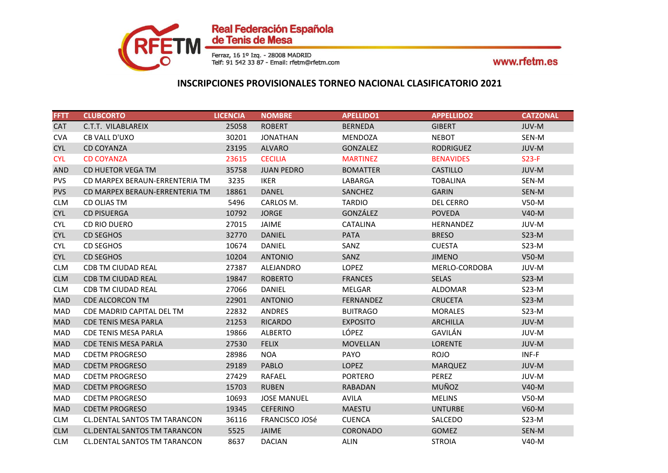

| <b>FFTT</b> | <b>CLUBCORTO</b>                    | <b>LICENCIA</b> | <b>NOMBRE</b>         | <b>APELLIDO1</b> | <b>APPELLIDO2</b> | <b>CATZONAL</b> |
|-------------|-------------------------------------|-----------------|-----------------------|------------------|-------------------|-----------------|
| <b>CAT</b>  | C.T.T. VILABLAREIX                  | 25058           | <b>ROBERT</b>         | <b>BERNEDA</b>   | <b>GIBERT</b>     | JUV-M           |
| <b>CVA</b>  | CB VALL D'UXO                       | 30201           | <b>JONATHAN</b>       | MENDOZA          | <b>NEBOT</b>      | SEN-M           |
| <b>CYL</b>  | <b>CD COYANZA</b>                   | 23195           | <b>ALVARO</b>         | GONZALEZ         | <b>RODRIGUEZ</b>  | JUV-M           |
| <b>CYL</b>  | <b>CD COYANZA</b>                   | 23615           | <b>CECILIA</b>        | <b>MARTINEZ</b>  | <b>BENAVIDES</b>  | $S23-F$         |
| <b>AND</b>  | CD HUETOR VEGA TM                   | 35758           | <b>JUAN PEDRO</b>     | <b>BOMATTER</b>  | <b>CASTILLO</b>   | JUV-M           |
| <b>PVS</b>  | CD MARPEX BERAUN-ERRENTERIA TM      | 3235            | <b>IKER</b>           | LABARGA          | <b>TOBALINA</b>   | SEN-M           |
| <b>PVS</b>  | CD MARPEX BERAUN-ERRENTERIA TM      | 18861           | <b>DANEL</b>          | <b>SANCHEZ</b>   | <b>GARIN</b>      | SEN-M           |
| <b>CLM</b>  | CD OLIAS TM                         | 5496            | CARLOS M.             | <b>TARDIO</b>    | <b>DEL CERRO</b>  | $V50-M$         |
| <b>CYL</b>  | <b>CD PISUERGA</b>                  | 10792           | <b>JORGE</b>          | GONZÁLEZ         | <b>POVEDA</b>     | $V40-M$         |
| <b>CYL</b>  | CD RIO DUERO                        | 27015           | <b>JAIME</b>          | <b>CATALINA</b>  | <b>HERNANDEZ</b>  | JUV-M           |
| <b>CYL</b>  | <b>CD SEGHOS</b>                    | 32770           | <b>DANIEL</b>         | <b>PATA</b>      | <b>BRESO</b>      | $S23-M$         |
| <b>CYL</b>  | <b>CD SEGHOS</b>                    | 10674           | <b>DANIEL</b>         | SANZ             | <b>CUESTA</b>     | $S23-M$         |
| <b>CYL</b>  | <b>CD SEGHOS</b>                    | 10204           | <b>ANTONIO</b>        | SANZ             | <b>JIMENO</b>     | V50-M           |
| <b>CLM</b>  | <b>CDB TM CIUDAD REAL</b>           | 27387           | ALEJANDRO             | <b>LOPEZ</b>     | MERLO-CORDOBA     | JUV-M           |
| <b>CLM</b>  | <b>CDB TM CIUDAD REAL</b>           | 19847           | <b>ROBERTO</b>        | <b>FRANCES</b>   | <b>SELAS</b>      | $S23-M$         |
| <b>CLM</b>  | <b>CDB TM CIUDAD REAL</b>           | 27066           | DANIEL                | MELGAR           | <b>ALDOMAR</b>    | $S23-M$         |
| <b>MAD</b>  | <b>CDE ALCORCON TM</b>              | 22901           | <b>ANTONIO</b>        | FERNANDEZ        | <b>CRUCETA</b>    | $S23-M$         |
| MAD         | CDE MADRID CAPITAL DEL TM           | 22832           | ANDRES                | <b>BUITRAGO</b>  | <b>MORALES</b>    | $S23-M$         |
| <b>MAD</b>  | <b>CDE TENIS MESA PARLA</b>         | 21253           | <b>RICARDO</b>        | <b>EXPOSITO</b>  | <b>ARCHILLA</b>   | JUV-M           |
| MAD         | <b>CDE TENIS MESA PARLA</b>         | 19866           | <b>ALBERTO</b>        | LÓPEZ            | GAVILÁN           | JUV-M           |
| <b>MAD</b>  | <b>CDE TENIS MESA PARLA</b>         | 27530           | <b>FELIX</b>          | <b>MOVELLAN</b>  | <b>LORENTE</b>    | JUV-M           |
| MAD         | <b>CDETM PROGRESO</b>               | 28986           | <b>NOA</b>            | PAYO             | <b>ROJO</b>       | INF-F           |
| <b>MAD</b>  | <b>CDETM PROGRESO</b>               | 29189           | <b>PABLO</b>          | <b>LOPEZ</b>     | <b>MARQUEZ</b>    | JUV-M           |
| MAD         | <b>CDETM PROGRESO</b>               | 27429           | RAFAEL                | <b>PORTERO</b>   | PEREZ             | JUV-M           |
| <b>MAD</b>  | <b>CDETM PROGRESO</b>               | 15703           | <b>RUBEN</b>          | <b>RABADAN</b>   | MUÑOZ             | $V40-M$         |
| MAD         | <b>CDETM PROGRESO</b>               | 10693           | <b>JOSE MANUEL</b>    | <b>AVILA</b>     | <b>MELINS</b>     | $V50-M$         |
| <b>MAD</b>  | <b>CDETM PROGRESO</b>               | 19345           | <b>CEFERINO</b>       | <b>MAESTU</b>    | <b>UNTURBE</b>    | $V60-M$         |
| <b>CLM</b>  | <b>CL.DENTAL SANTOS TM TARANCON</b> | 36116           | <b>FRANCISCO JOSé</b> | <b>CUENCA</b>    | SALCEDO           | $S23-M$         |
| <b>CLM</b>  | <b>CL.DENTAL SANTOS TM TARANCON</b> | 5525            | <b>JAIME</b>          | CORONADO         | GOMEZ             | SEN-M           |
| <b>CLM</b>  | <b>CL.DENTAL SANTOS TM TARANCON</b> | 8637            | <b>DACIAN</b>         | <b>ALIN</b>      | <b>STROIA</b>     | V40-M           |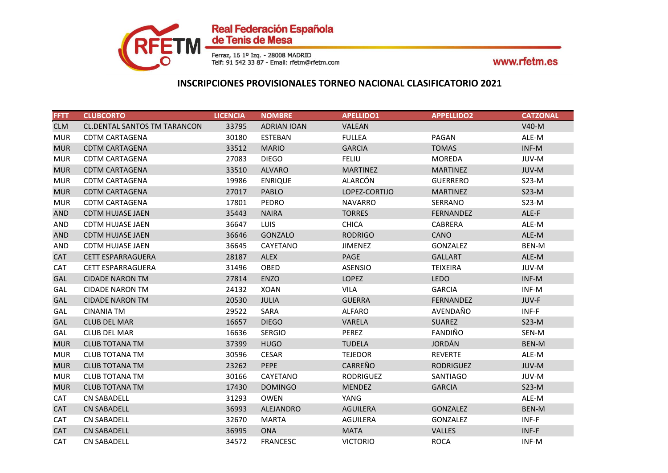

| <b>FFTT</b> | <b>CLUBCORTO</b>                    | <b>LICENCIA</b> | <b>NOMBRE</b>      | <b>APELLIDO1</b> | <b>APPELLIDO2</b> | <b>CATZONAL</b> |
|-------------|-------------------------------------|-----------------|--------------------|------------------|-------------------|-----------------|
| <b>CLM</b>  | <b>CL.DENTAL SANTOS TM TARANCON</b> | 33795           | <b>ADRIAN IOAN</b> | VALEAN           |                   | $V40-M$         |
| <b>MUR</b>  | <b>CDTM CARTAGENA</b>               | 30180           | <b>ESTEBAN</b>     | <b>FULLEA</b>    | PAGAN             | ALE-M           |
| <b>MUR</b>  | <b>CDTM CARTAGENA</b>               | 33512           | <b>MARIO</b>       | <b>GARCIA</b>    | <b>TOMAS</b>      | INF-M           |
| <b>MUR</b>  | <b>CDTM CARTAGENA</b>               | 27083           | <b>DIEGO</b>       | <b>FELIU</b>     | <b>MOREDA</b>     | JUV-M           |
| <b>MUR</b>  | <b>CDTM CARTAGENA</b>               | 33510           | <b>ALVARO</b>      | <b>MARTINEZ</b>  | <b>MARTINEZ</b>   | JUV-M           |
| <b>MUR</b>  | <b>CDTM CARTAGENA</b>               | 19986           | <b>ENRIQUE</b>     | ALARCÓN          | <b>GUERRERO</b>   | $S23-M$         |
| <b>MUR</b>  | <b>CDTM CARTAGENA</b>               | 27017           | <b>PABLO</b>       | LOPEZ-CORTIJO    | <b>MARTINEZ</b>   | $S23-M$         |
| <b>MUR</b>  | <b>CDTM CARTAGENA</b>               | 17801           | PEDRO              | <b>NAVARRO</b>   | SERRANO           | $S23-M$         |
| <b>AND</b>  | <b>CDTM HUJASE JAEN</b>             | 35443           | <b>NAIRA</b>       | <b>TORRES</b>    | FERNANDEZ         | ALE-F           |
| AND         | <b>CDTM HUJASE JAEN</b>             | 36647           | LUIS               | <b>CHICA</b>     | CABRERA           | ALE-M           |
| <b>AND</b>  | <b>CDTM HUJASE JAEN</b>             | 36646           | GONZALO            | <b>RODRIGO</b>   | <b>CANO</b>       | ALE-M           |
| AND         | <b>CDTM HUJASE JAEN</b>             | 36645           | CAYETANO           | <b>JIMENEZ</b>   | <b>GONZALEZ</b>   | BEN-M           |
| <b>CAT</b>  | <b>CETT ESPARRAGUERA</b>            | 28187           | <b>ALEX</b>        | PAGE             | <b>GALLART</b>    | ALE-M           |
| <b>CAT</b>  | <b>CETT ESPARRAGUERA</b>            | 31496           | OBED               | <b>ASENSIO</b>   | <b>TEIXEIRA</b>   | JUV-M           |
| GAL         | <b>CIDADE NARON TM</b>              | 27814           | <b>ENZO</b>        | <b>LOPEZ</b>     | <b>LEDO</b>       | INF-M           |
| GAL         | <b>CIDADE NARON TM</b>              | 24132           | <b>XOAN</b>        | VILA             | <b>GARCIA</b>     | INF-M           |
| <b>GAL</b>  | <b>CIDADE NARON TM</b>              | 20530           | <b>JULIA</b>       | <b>GUERRA</b>    | <b>FERNANDEZ</b>  | JUV-F           |
| GAL         | <b>CINANIA TM</b>                   | 29522           | SARA               | <b>ALFARO</b>    | AVENDAÑO          | INF-F           |
| GAL         | <b>CLUB DEL MAR</b>                 | 16657           | <b>DIEGO</b>       | VARELA           | <b>SUAREZ</b>     | $S23-M$         |
| GAL         | <b>CLUB DEL MAR</b>                 | 16636           | <b>SERGIO</b>      | <b>PEREZ</b>     | FANDIÑO           | SEN-M           |
| <b>MUR</b>  | <b>CLUB TOTANA TM</b>               | 37399           | <b>HUGO</b>        | <b>TUDELA</b>    | <b>JORDÁN</b>     | BEN-M           |
| <b>MUR</b>  | <b>CLUB TOTANA TM</b>               | 30596           | <b>CESAR</b>       | <b>TEJEDOR</b>   | <b>REVERTE</b>    | ALE-M           |
| <b>MUR</b>  | <b>CLUB TOTANA TM</b>               | 23262           | PEPE               | CARREÑO          | <b>RODRIGUEZ</b>  | JUV-M           |
| <b>MUR</b>  | <b>CLUB TOTANA TM</b>               | 30166           | CAYETANO           | <b>RODRIGUEZ</b> | SANTIAGO          | JUV-M           |
| <b>MUR</b>  | <b>CLUB TOTANA TM</b>               | 17430           | <b>DOMINGO</b>     | <b>MENDEZ</b>    | <b>GARCIA</b>     | $S23-M$         |
| <b>CAT</b>  | <b>CN SABADELL</b>                  | 31293           | <b>OWEN</b>        | YANG             |                   | ALE-M           |
| <b>CAT</b>  | <b>CN SABADELL</b>                  | 36993           | ALEJANDRO          | AGUILERA         | <b>GONZALEZ</b>   | BEN-M           |
| CAT         | <b>CN SABADELL</b>                  | 32670           | <b>MARTA</b>       | AGUILERA         | GONZALEZ          | INF-F           |
| <b>CAT</b>  | <b>CN SABADELL</b>                  | 36995           | <b>ONA</b>         | <b>MATA</b>      | <b>VALLES</b>     | INF-F           |
| CAT         | <b>CN SABADELL</b>                  | 34572           | <b>FRANCESC</b>    | <b>VICTORIO</b>  | <b>ROCA</b>       | INF-M           |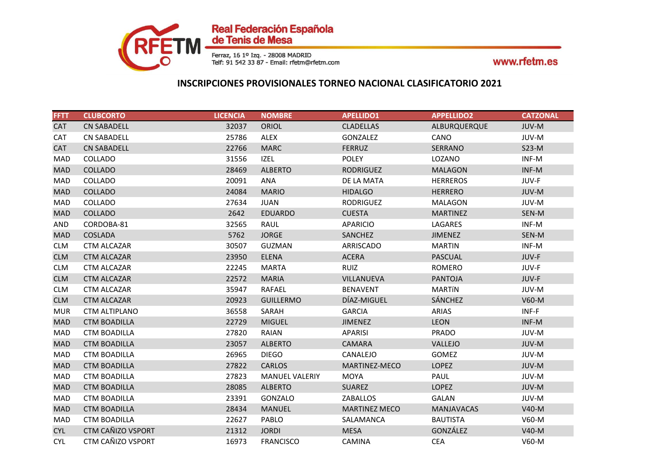

| <b>FFTT</b> | <b>CLUBCORTO</b>     | <b>LICENCIA</b> | <b>NOMBRE</b>         | <b>APELLIDO1</b>     | <b>APPELLIDO2</b> | <b>CATZONAL</b> |
|-------------|----------------------|-----------------|-----------------------|----------------------|-------------------|-----------------|
| <b>CAT</b>  | <b>CN SABADELL</b>   | 32037           | <b>ORIOL</b>          | <b>CLADELLAS</b>     | ALBURQUERQUE      | JUV-M           |
| CAT         | <b>CN SABADELL</b>   | 25786           | ALEX                  | GONZALEZ             | CANO              | JUV-M           |
| <b>CAT</b>  | <b>CN SABADELL</b>   | 22766           | <b>MARC</b>           | <b>FERRUZ</b>        | SERRANO           | $S23-M$         |
| MAD         | COLLADO              | 31556           | IZEL                  | <b>POLEY</b>         | LOZANO            | INF-M           |
| <b>MAD</b>  | <b>COLLADO</b>       | 28469           | <b>ALBERTO</b>        | <b>RODRIGUEZ</b>     | <b>MALAGON</b>    | INF-M           |
| MAD         | COLLADO              | 20091           | ANA                   | DE LA MATA           | <b>HERREROS</b>   | JUV-F           |
| <b>MAD</b>  | <b>COLLADO</b>       | 24084           | <b>MARIO</b>          | <b>HIDALGO</b>       | <b>HERRERO</b>    | JUV-M           |
| MAD         | COLLADO              | 27634           | <b>JUAN</b>           | <b>RODRIGUEZ</b>     | <b>MALAGON</b>    | JUV-M           |
| <b>MAD</b>  | <b>COLLADO</b>       | 2642            | <b>EDUARDO</b>        | <b>CUESTA</b>        | <b>MARTINEZ</b>   | SEN-M           |
| <b>AND</b>  | CORDOBA-81           | 32565           | RAUL                  | <b>APARICIO</b>      | LAGARES           | INF-M           |
| <b>MAD</b>  | <b>COSLADA</b>       | 5762            | <b>JORGE</b>          | SANCHEZ              | <b>JIMENEZ</b>    | SEN-M           |
| <b>CLM</b>  | <b>CTM ALCAZAR</b>   | 30507           | <b>GUZMAN</b>         | ARRISCADO            | <b>MARTIN</b>     | INF-M           |
| <b>CLM</b>  | <b>CTM ALCAZAR</b>   | 23950           | <b>ELENA</b>          | <b>ACERA</b>         | <b>PASCUAL</b>    | JUV-F           |
| <b>CLM</b>  | <b>CTM ALCAZAR</b>   | 22245           | <b>MARTA</b>          | <b>RUIZ</b>          | ROMERO            | JUV-F           |
| <b>CLM</b>  | <b>CTM ALCAZAR</b>   | 22572           | <b>MARIA</b>          | VILLANUEVA           | <b>PANTOJA</b>    | JUV-F           |
| <b>CLM</b>  | <b>CTM ALCAZAR</b>   | 35947           | RAFAEL                | <b>BENAVENT</b>      | <b>MARTÍN</b>     | JUV-M           |
| <b>CLM</b>  | <b>CTM ALCAZAR</b>   | 20923           | <b>GUILLERMO</b>      | DÍAZ-MIGUEL          | <b>SÁNCHEZ</b>    | V60-M           |
| <b>MUR</b>  | <b>CTM ALTIPLANO</b> | 36558           | SARAH                 | <b>GARCIA</b>        | <b>ARIAS</b>      | INF-F           |
| <b>MAD</b>  | <b>CTM BOADILLA</b>  | 22729           | <b>MIGUEL</b>         | <b>JIMENEZ</b>       | <b>LEON</b>       | INF-M           |
| MAD         | <b>CTM BOADILLA</b>  | 27820           | <b>RAIAN</b>          | <b>APARISI</b>       | <b>PRADO</b>      | JUV-M           |
| <b>MAD</b>  | <b>CTM BOADILLA</b>  | 23057           | <b>ALBERTO</b>        | <b>CAMARA</b>        | VALLEJO           | JUV-M           |
| MAD         | <b>CTM BOADILLA</b>  | 26965           | <b>DIEGO</b>          | CANALEJO             | <b>GOMEZ</b>      | JUV-M           |
| <b>MAD</b>  | <b>CTM BOADILLA</b>  | 27822           | <b>CARLOS</b>         | MARTINEZ-MECO        | <b>LOPEZ</b>      | JUV-M           |
| MAD         | <b>CTM BOADILLA</b>  | 27823           | <b>MANUEL VALERIY</b> | <b>MOYA</b>          | PAUL              | JUV-M           |
| <b>MAD</b>  | <b>CTM BOADILLA</b>  | 28085           | <b>ALBERTO</b>        | <b>SUAREZ</b>        | <b>LOPEZ</b>      | JUV-M           |
| MAD         | <b>CTM BOADILLA</b>  | 23391           | GONZALO               | ZABALLOS             | <b>GALAN</b>      | JUV-M           |
| <b>MAD</b>  | <b>CTM BOADILLA</b>  | 28434           | <b>MANUEL</b>         | <b>MARTINEZ MECO</b> | <b>MANJAVACAS</b> | $V40-M$         |
| MAD         | <b>CTM BOADILLA</b>  | 22627           | PABLO                 | SALAMANCA            | <b>BAUTISTA</b>   | $V60-M$         |
| <b>CYL</b>  | CTM CAÑIZO VSPORT    | 21312           | <b>JORDI</b>          | <b>MESA</b>          | GONZÁLEZ          | $V40-M$         |
| <b>CYL</b>  | CTM CAÑIZO VSPORT    | 16973           | <b>FRANCISCO</b>      | CAMINA               | <b>CEA</b>        | V60-M           |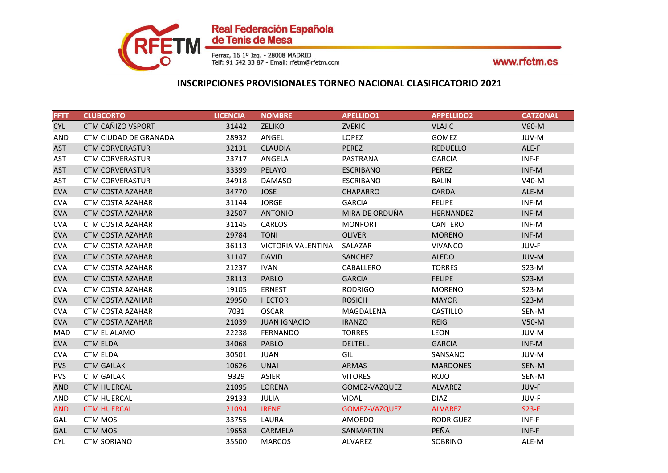

| <b>FFTT</b> | <b>CLUBCORTO</b>             | <b>LICENCIA</b> | <b>NOMBRE</b>       | <b>APELLIDO1</b>     | <b>APPELLIDO2</b> | <b>CATZONAL</b> |
|-------------|------------------------------|-----------------|---------------------|----------------------|-------------------|-----------------|
| <b>CYL</b>  | CTM CAÑIZO VSPORT            | 31442           | <b>ZELJKO</b>       | <b>ZVEKIC</b>        | <b>VLAJIC</b>     | $V60-M$         |
| <b>AND</b>  | <b>CTM CIUDAD DE GRANADA</b> | 28932           | ANGEL               | <b>LOPEZ</b>         | GOMEZ             | JUV-M           |
| <b>AST</b>  | <b>CTM CORVERASTUR</b>       | 32131           | <b>CLAUDIA</b>      | <b>PEREZ</b>         | <b>REDUELLO</b>   | ALE-F           |
| AST         | <b>CTM CORVERASTUR</b>       | 23717           | ANGELA              | PASTRANA             | <b>GARCIA</b>     | INF-F           |
| <b>AST</b>  | <b>CTM CORVERASTUR</b>       | 33399           | PELAYO              | <b>ESCRIBANO</b>     | PEREZ             | INF-M           |
| AST         | <b>CTM CORVERASTUR</b>       | 34918           | <b>DAMASO</b>       | <b>ESCRIBANO</b>     | <b>BALIN</b>      | V40-M           |
| <b>CVA</b>  | <b>CTM COSTA AZAHAR</b>      | 34770           | <b>JOSE</b>         | <b>CHAPARRO</b>      | <b>CARDA</b>      | ALE-M           |
| <b>CVA</b>  | CTM COSTA AZAHAR             | 31144           | <b>JORGE</b>        | <b>GARCIA</b>        | <b>FELIPE</b>     | INF-M           |
| <b>CVA</b>  | <b>CTM COSTA AZAHAR</b>      | 32507           | <b>ANTONIO</b>      | MIRA DE ORDUÑA       | HERNANDEZ         | INF-M           |
| <b>CVA</b>  | CTM COSTA AZAHAR             | 31145           | <b>CARLOS</b>       | <b>MONFORT</b>       | CANTERO           | INF-M           |
| <b>CVA</b>  | <b>CTM COSTA AZAHAR</b>      | 29784           | <b>TONI</b>         | <b>OLIVER</b>        | <b>MORENO</b>     | INF-M           |
| <b>CVA</b>  | <b>CTM COSTA AZAHAR</b>      | 36113           | VICTORIA VALENTINA  | SALAZAR              | <b>VIVANCO</b>    | JUV-F           |
| <b>CVA</b>  | <b>CTM COSTA AZAHAR</b>      | 31147           | <b>DAVID</b>        | SANCHEZ              | <b>ALEDO</b>      | JUV-M           |
| <b>CVA</b>  | <b>CTM COSTA AZAHAR</b>      | 21237           | <b>IVAN</b>         | CABALLERO            | <b>TORRES</b>     | $S23-M$         |
| <b>CVA</b>  | <b>CTM COSTA AZAHAR</b>      | 28113           | <b>PABLO</b>        | <b>GARCIA</b>        | <b>FELIPE</b>     | $S23-M$         |
| <b>CVA</b>  | CTM COSTA AZAHAR             | 19105           | <b>ERNEST</b>       | <b>RODRIGO</b>       | <b>MORENO</b>     | $S23-M$         |
| <b>CVA</b>  | <b>CTM COSTA AZAHAR</b>      | 29950           | <b>HECTOR</b>       | <b>ROSICH</b>        | <b>MAYOR</b>      | $S23-M$         |
| <b>CVA</b>  | CTM COSTA AZAHAR             | 7031            | <b>OSCAR</b>        | MAGDALENA            | CASTILLO          | SEN-M           |
| <b>CVA</b>  | <b>CTM COSTA AZAHAR</b>      | 21039           | <b>JUAN IGNACIO</b> | <b>IRANZO</b>        | <b>REIG</b>       | $V50-M$         |
| MAD         | CTM EL ALAMO                 | 22238           | <b>FERNANDO</b>     | <b>TORRES</b>        | <b>LEON</b>       | JUV-M           |
| <b>CVA</b>  | <b>CTM ELDA</b>              | 34068           | <b>PABLO</b>        | <b>DELTELL</b>       | <b>GARCIA</b>     | INF-M           |
| <b>CVA</b>  | <b>CTM ELDA</b>              | 30501           | <b>JUAN</b>         | GIL                  | SANSANO           | JUV-M           |
| <b>PVS</b>  | <b>CTM GAILAK</b>            | 10626           | <b>UNAI</b>         | <b>ARMAS</b>         | <b>MARDONES</b>   | SEN-M           |
| <b>PVS</b>  | <b>CTM GAILAK</b>            | 9329            | <b>ASIER</b>        | <b>VITORES</b>       | <b>ROJO</b>       | SEN-M           |
| <b>AND</b>  | <b>CTM HUERCAL</b>           | 21095           | LORENA              | GOMEZ-VAZQUEZ        | <b>ALVAREZ</b>    | JUV-F           |
| <b>AND</b>  | <b>CTM HUERCAL</b>           | 29133           | JULIA               | <b>VIDAL</b>         | <b>DIAZ</b>       | JUV-F           |
| <b>AND</b>  | <b>CTM HUERCAL</b>           | 21094           | <b>IRENE</b>        | <b>GOMEZ-VAZQUEZ</b> | <b>ALVAREZ</b>    | $S23-F$         |
| GAL         | CTM MOS                      | 33755           | LAURA               | AMOEDO               | <b>RODRIGUEZ</b>  | INF-F           |
| <b>GAL</b>  | <b>CTM MOS</b>               | 19658           | CARMELA             | SANMARTIN            | PEÑA              | INF-F           |
| <b>CYL</b>  | <b>CTM SORIANO</b>           | 35500           | <b>MARCOS</b>       | ALVAREZ              | <b>SOBRINO</b>    | ALE-M           |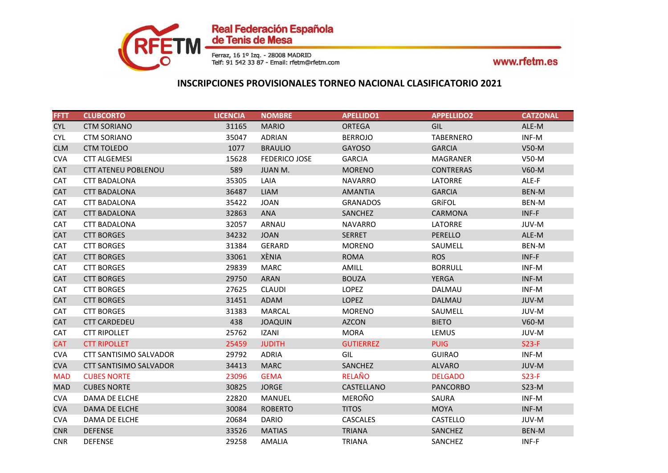

| <b>FFTT</b> | <b>CLUBCORTO</b>              | <b>LICENCIA</b> | <b>NOMBRE</b>        | <b>APELLIDO1</b> | <b>APPELLIDO2</b> | <b>CATZONAL</b> |
|-------------|-------------------------------|-----------------|----------------------|------------------|-------------------|-----------------|
| <b>CYL</b>  | <b>CTM SORIANO</b>            | 31165           | <b>MARIO</b>         | <b>ORTEGA</b>    | <b>GIL</b>        | ALE-M           |
| <b>CYL</b>  | <b>CTM SORIANO</b>            | 35047           | ADRIAN               | <b>BERROJO</b>   | <b>TABERNERO</b>  | INF-M           |
| <b>CLM</b>  | <b>CTM TOLEDO</b>             | 1077            | <b>BRAULIO</b>       | <b>GAYOSO</b>    | <b>GARCIA</b>     | V50-M           |
| <b>CVA</b>  | <b>CTT ALGEMESI</b>           | 15628           | <b>FEDERICO JOSE</b> | <b>GARCIA</b>    | MAGRANER          | $V50-M$         |
| <b>CAT</b>  | <b>CTT ATENEU POBLENOU</b>    | 589             | JUAN M.              | <b>MORENO</b>    | <b>CONTRERAS</b>  | $V60-M$         |
| <b>CAT</b>  | <b>CTT BADALONA</b>           | 35305           | LAIA                 | <b>NAVARRO</b>   | LATORRE           | ALE-F           |
| <b>CAT</b>  | <b>CTT BADALONA</b>           | 36487           | <b>LIAM</b>          | <b>AMANTIA</b>   | <b>GARCIA</b>     | BEN-M           |
| CAT         | <b>CTT BADALONA</b>           | 35422           | <b>JOAN</b>          | <b>GRANADOS</b>  | GRÍFOL            | BEN-M           |
| <b>CAT</b>  | <b>CTT BADALONA</b>           | 32863           | <b>ANA</b>           | SANCHEZ          | <b>CARMONA</b>    | $INF-F$         |
| <b>CAT</b>  | <b>CTT BADALONA</b>           | 32057           | ARNAU                | <b>NAVARRO</b>   | LATORRE           | JUV-M           |
| <b>CAT</b>  | <b>CTT BORGES</b>             | 34232           | <b>JOAN</b>          | <b>SERRET</b>    | <b>PERELLO</b>    | ALE-M           |
| CAT         | <b>CTT BORGES</b>             | 31384           | <b>GERARD</b>        | <b>MORENO</b>    | SAUMELL           | BEN-M           |
| <b>CAT</b>  | <b>CTT BORGES</b>             | 33061           | XÈNIA                | <b>ROMA</b>      | <b>ROS</b>        | INF-F           |
| <b>CAT</b>  | <b>CTT BORGES</b>             | 29839           | <b>MARC</b>          | AMILL            | <b>BORRULL</b>    | INF-M           |
| <b>CAT</b>  | <b>CTT BORGES</b>             | 29750           | <b>ARAN</b>          | <b>BOUZA</b>     | <b>YERGA</b>      | INF-M           |
| <b>CAT</b>  | <b>CTT BORGES</b>             | 27625           | <b>CLAUDI</b>        | LOPEZ            | DALMAU            | INF-M           |
| <b>CAT</b>  | <b>CTT BORGES</b>             | 31451           | ADAM                 | <b>LOPEZ</b>     | <b>DALMAU</b>     | JUV-M           |
| <b>CAT</b>  | <b>CTT BORGES</b>             | 31383           | <b>MARCAL</b>        | <b>MORENO</b>    | SAUMELL           | JUV-M           |
| <b>CAT</b>  | <b>CTT CARDEDEU</b>           | 438             | <b>JOAQUIN</b>       | <b>AZCON</b>     | <b>BIETO</b>      | $V60-M$         |
| <b>CAT</b>  | <b>CTT RIPOLLET</b>           | 25762           | <b>IZANI</b>         | <b>MORA</b>      | LEMUS             | JUV-M           |
| <b>CAT</b>  | <b>CTT RIPOLLET</b>           | 25459           | <b>JUDITH</b>        | <b>GUTIERREZ</b> | <b>PUIG</b>       | $S23-F$         |
| <b>CVA</b>  | <b>CTT SANTISIMO SALVADOR</b> | 29792           | <b>ADRIA</b>         | GIL              | <b>GUIRAO</b>     | INF-M           |
| <b>CVA</b>  | <b>CTT SANTISIMO SALVADOR</b> | 34413           | <b>MARC</b>          | SANCHEZ          | <b>ALVARO</b>     | JUV-M           |
| <b>MAD</b>  | <b>CUBES NORTE</b>            | 23096           | <b>GEMA</b>          | <b>RELAÑO</b>    | <b>DELGADO</b>    | $S23-F$         |
| <b>MAD</b>  | <b>CUBES NORTE</b>            | 30825           | <b>JORGE</b>         | CASTELLANO       | <b>PANCORBO</b>   | $S23-M$         |
| <b>CVA</b>  | DAMA DE ELCHE                 | 22820           | MANUEL               | <b>MEROÑO</b>    | SAURA             | INF-M           |
| <b>CVA</b>  | DAMA DE ELCHE                 | 30084           | <b>ROBERTO</b>       | <b>TITOS</b>     | <b>MOYA</b>       | INF-M           |
| <b>CVA</b>  | DAMA DE ELCHE                 | 20684           | <b>DARIO</b>         | CASCALES         | CASTELLO          | JUV-M           |
| <b>CNR</b>  | <b>DEFENSE</b>                | 33526           | <b>MATIAS</b>        | <b>TRIANA</b>    | SANCHEZ           | BEN-M           |
| <b>CNR</b>  | <b>DEFENSE</b>                | 29258           | <b>AMALIA</b>        | <b>TRIANA</b>    | SANCHEZ           | INF-F           |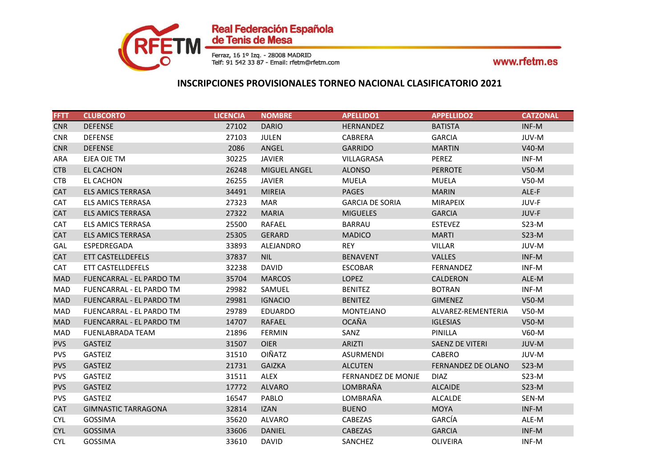

| <b>FFTT</b> | <b>CLUBCORTO</b>                | <b>LICENCIA</b> | <b>NOMBRE</b>       | <b>APELLIDO1</b>          | <b>APPELLIDO2</b>      | <b>CATZONAL</b> |
|-------------|---------------------------------|-----------------|---------------------|---------------------------|------------------------|-----------------|
| <b>CNR</b>  | <b>DEFENSE</b>                  | 27102           | <b>DARIO</b>        | <b>HERNANDEZ</b>          | <b>BATISTA</b>         | INF-M           |
| <b>CNR</b>  | <b>DEFENSE</b>                  | 27103           | <b>JULEN</b>        | CABRERA                   | <b>GARCIA</b>          | JUV-M           |
| <b>CNR</b>  | <b>DEFENSE</b>                  | 2086            | ANGEL               | <b>GARRIDO</b>            | <b>MARTIN</b>          | $V40-M$         |
| ARA         | EJEA OJE TM                     | 30225           | <b>JAVIER</b>       | <b>VILLAGRASA</b>         | PEREZ                  | INF-M           |
| <b>CTB</b>  | EL CACHON                       | 26248           | <b>MIGUEL ANGEL</b> | <b>ALONSO</b>             | <b>PERROTE</b>         | $V50-M$         |
| <b>CTB</b>  | EL CACHON                       | 26255           | <b>JAVIER</b>       | <b>MUELA</b>              | <b>MUELA</b>           | V50-M           |
| <b>CAT</b>  | <b>ELS AMICS TERRASA</b>        | 34491           | <b>MIREIA</b>       | <b>PAGES</b>              | <b>MARIN</b>           | ALE-F           |
| CAT         | <b>ELS AMICS TERRASA</b>        | 27323           | <b>MAR</b>          | <b>GARCIA DE SORIA</b>    | <b>MIRAPEIX</b>        | JUV-F           |
| <b>CAT</b>  | <b>ELS AMICS TERRASA</b>        | 27322           | <b>MARIA</b>        | <b>MIGUELES</b>           | <b>GARCIA</b>          | JUV-F           |
| CAT         | <b>ELS AMICS TERRASA</b>        | 25500           | RAFAEL              | <b>BARRAU</b>             | <b>ESTEVEZ</b>         | $S23-M$         |
| <b>CAT</b>  | <b>ELS AMICS TERRASA</b>        | 25305           | <b>GERARD</b>       | <b>MADICO</b>             | <b>MARTI</b>           | $S23-M$         |
| GAL         | ESPEDREGADA                     | 33893           | ALEJANDRO           | <b>REY</b>                | <b>VILLAR</b>          | JUV-M           |
| <b>CAT</b>  | ETT CASTELLDEFELS               | 37837           | <b>NIL</b>          | <b>BENAVENT</b>           | <b>VALLES</b>          | INF-M           |
| CAT         | ETT CASTELLDEFELS               | 32238           | <b>DAVID</b>        | <b>ESCOBAR</b>            | <b>FERNANDEZ</b>       | INF-M           |
| <b>MAD</b>  | FUENCARRAL - EL PARDO TM        | 35704           | <b>MARCOS</b>       | <b>LOPEZ</b>              | CALDERON               | ALE-M           |
| MAD         | FUENCARRAL - EL PARDO TM        | 29982           | SAMUEL              | <b>BENITEZ</b>            | <b>BOTRAN</b>          | INF-M           |
| <b>MAD</b>  | FUENCARRAL - EL PARDO TM        | 29981           | <b>IGNACIO</b>      | <b>BENITEZ</b>            | <b>GIMENEZ</b>         | $V50-M$         |
| MAD         | <b>FUENCARRAL - EL PARDO TM</b> | 29789           | <b>EDUARDO</b>      | <b>MONTEJANO</b>          | ALVAREZ-REMENTERIA     | V50-M           |
| <b>MAD</b>  | <b>FUENCARRAL - EL PARDO TM</b> | 14707           | RAFAEL              | <b>OCAÑA</b>              | <b>IGLESIAS</b>        | $V50-M$         |
| <b>MAD</b>  | <b>FUENLABRADA TEAM</b>         | 21896           | <b>FERMIN</b>       | SANZ                      | PINILLA                | $V60-M$         |
| <b>PVS</b>  | <b>GASTEIZ</b>                  | 31507           | <b>OIER</b>         | <b>ARIZTI</b>             | <b>SAENZ DE VITERI</b> | JUV-M           |
| <b>PVS</b>  | <b>GASTEIZ</b>                  | 31510           | <b>OIÑATZ</b>       | <b>ASURMENDI</b>          | CABERO                 | JUV-M           |
| <b>PVS</b>  | <b>GASTEIZ</b>                  | 21731           | <b>GAIZKA</b>       | <b>ALCUTEN</b>            | FERNANDEZ DE OLANO     | $S23-M$         |
| <b>PVS</b>  | <b>GASTEIZ</b>                  | 31511           | <b>ALEX</b>         | <b>FERNANDEZ DE MONJE</b> | <b>DIAZ</b>            | $S23-M$         |
| <b>PVS</b>  | <b>GASTEIZ</b>                  | 17772           | <b>ALVARO</b>       | LOMBRAÑA                  | <b>ALCAIDE</b>         | $S23-M$         |
| <b>PVS</b>  | <b>GASTEIZ</b>                  | 16547           | PABLO               | LOMBRAÑA                  | <b>ALCALDE</b>         | SEN-M           |
| <b>CAT</b>  | <b>GIMNASTIC TARRAGONA</b>      | 32814           | <b>IZAN</b>         | <b>BUENO</b>              | <b>MOYA</b>            | INF-M           |
| <b>CYL</b>  | <b>GOSSIMA</b>                  | 35620           | ALVARO              | CABEZAS                   | GARCÍA                 | ALE-M           |
| <b>CYL</b>  | <b>GOSSIMA</b>                  | 33606           | <b>DANIEL</b>       | CABEZAS                   | <b>GARCIA</b>          | INF-M           |
| <b>CYL</b>  | <b>GOSSIMA</b>                  | 33610           | <b>DAVID</b>        | SANCHEZ                   | <b>OLIVEIRA</b>        | INF-M           |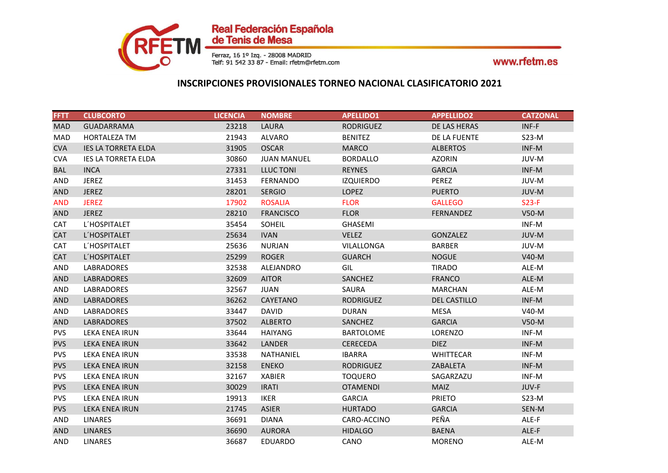

| <b>FFTT</b> | <b>CLUBCORTO</b>           | <b>LICENCIA</b> | <b>NOMBRE</b>      | <b>APELLIDO1</b> | <b>APPELLIDO2</b>   | <b>CATZONAL</b> |
|-------------|----------------------------|-----------------|--------------------|------------------|---------------------|-----------------|
| <b>MAD</b>  | <b>GUADARRAMA</b>          | 23218           | LAURA              | <b>RODRIGUEZ</b> | DE LAS HERAS        | INF-F           |
| <b>MAD</b>  | HORTALEZA TM               | 21943           | <b>ALVARO</b>      | <b>BENITEZ</b>   | DE LA FUENTE        | $S23-M$         |
| <b>CVA</b>  | <b>IES LA TORRETA ELDA</b> | 31905           | <b>OSCAR</b>       | <b>MARCO</b>     | <b>ALBERTOS</b>     | INF-M           |
| <b>CVA</b>  | <b>IES LA TORRETA ELDA</b> | 30860           | <b>JUAN MANUEL</b> | <b>BORDALLO</b>  | <b>AZORIN</b>       | JUV-M           |
| <b>BAL</b>  | <b>INCA</b>                | 27331           | LLUC TONI          | <b>REYNES</b>    | <b>GARCIA</b>       | INF-M           |
| AND         | <b>JEREZ</b>               | 31453           | FERNANDO           | <b>IZQUIERDO</b> | PEREZ               | JUV-M           |
| <b>AND</b>  | <b>JEREZ</b>               | 28201           | <b>SERGIO</b>      | <b>LOPEZ</b>     | <b>PUERTO</b>       | JUV-M           |
| <b>AND</b>  | <b>JEREZ</b>               | 17902           | <b>ROSALIA</b>     | <b>FLOR</b>      | <b>GALLEGO</b>      | $S23-F$         |
| <b>AND</b>  | <b>JEREZ</b>               | 28210           | <b>FRANCISCO</b>   | <b>FLOR</b>      | FERNANDEZ           | $V50-M$         |
| <b>CAT</b>  | L'HOSPITALET               | 35454           | SOHEIL             | GHASEMI          |                     | INF-M           |
| <b>CAT</b>  | L'HOSPITALET               | 25634           | <b>IVAN</b>        | <b>VELEZ</b>     | <b>GONZALEZ</b>     | JUV-M           |
| <b>CAT</b>  | L'HOSPITALET               | 25636           | <b>NURJAN</b>      | VILALLONGA       | <b>BARBER</b>       | JUV-M           |
| <b>CAT</b>  | L'HOSPITALET               | 25299           | <b>ROGER</b>       | <b>GUARCH</b>    | <b>NOGUE</b>        | $V40-M$         |
| <b>AND</b>  | LABRADORES                 | 32538           | ALEJANDRO          | GIL              | <b>TIRADO</b>       | ALE-M           |
| <b>AND</b>  | <b>LABRADORES</b>          | 32609           | <b>AITOR</b>       | SANCHEZ          | <b>FRANCO</b>       | ALE-M           |
| AND         | LABRADORES                 | 32567           | JUAN               | SAURA            | <b>MARCHAN</b>      | ALE-M           |
| <b>AND</b>  | <b>LABRADORES</b>          | 36262           | CAYETANO           | <b>RODRIGUEZ</b> | <b>DEL CASTILLO</b> | INF-M           |
| <b>AND</b>  | LABRADORES                 | 33447           | <b>DAVID</b>       | <b>DURAN</b>     | <b>MESA</b>         | V40-M           |
| <b>AND</b>  | <b>LABRADORES</b>          | 37502           | <b>ALBERTO</b>     | SANCHEZ          | <b>GARCIA</b>       | $V50-M$         |
| <b>PVS</b>  | LEKA ENEA IRUN             | 33644           | <b>HAIYANG</b>     | <b>BARTOLOME</b> | LORENZO             | INF-M           |
| <b>PVS</b>  | LEKA ENEA IRUN             | 33642           | LANDER             | <b>CERECEDA</b>  | <b>DIEZ</b>         | $INF-M$         |
| <b>PVS</b>  | LEKA ENEA IRUN             | 33538           | NATHANIEL          | <b>IBARRA</b>    | <b>WHITTECAR</b>    | INF-M           |
| <b>PVS</b>  | <b>LEKA ENEA IRUN</b>      | 32158           | <b>ENEKO</b>       | <b>RODRIGUEZ</b> | ZABALETA            | INF-M           |
| <b>PVS</b>  | LEKA ENEA IRUN             | 32167           | <b>XABIER</b>      | <b>TOQUERO</b>   | SAGARZAZU           | INF-M           |
| <b>PVS</b>  | LEKA ENEA IRUN             | 30029           | <b>IRATI</b>       | <b>OTAMENDI</b>  | <b>MAIZ</b>         | JUV-F           |
| <b>PVS</b>  | LEKA ENEA IRUN             | 19913           | IKER               | <b>GARCIA</b>    | <b>PRIETO</b>       | $S23-M$         |
| <b>PVS</b>  | LEKA ENEA IRUN             | 21745           | <b>ASIER</b>       | <b>HURTADO</b>   | <b>GARCIA</b>       | SEN-M           |
| <b>AND</b>  | LINARES                    | 36691           | <b>DIANA</b>       | CARO-ACCINO      | PEÑA                | ALE-F           |
| <b>AND</b>  | <b>LINARES</b>             | 36690           | <b>AURORA</b>      | <b>HIDALGO</b>   | <b>BAENA</b>        | ALE-F           |
| AND         | <b>LINARES</b>             | 36687           | <b>EDUARDO</b>     | CANO             | <b>MORENO</b>       | ALE-M           |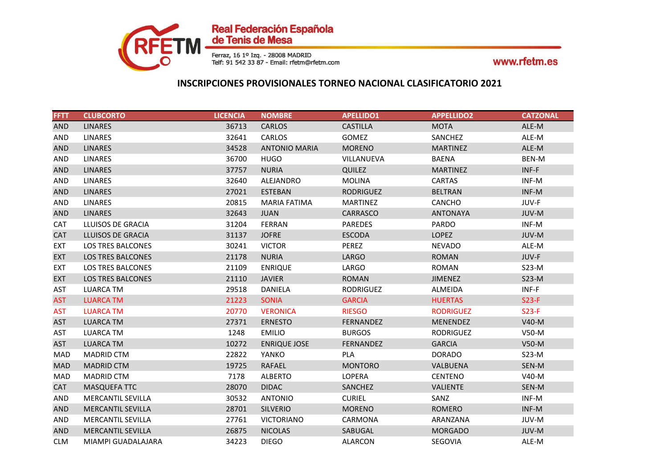

| <b>FFTT</b> | <b>CLUBCORTO</b>         | <b>LICENCIA</b> | <b>NOMBRE</b>        | <b>APELLIDO1</b> | <b>APPELLIDO2</b> | <b>CATZONAL</b> |
|-------------|--------------------------|-----------------|----------------------|------------------|-------------------|-----------------|
| <b>AND</b>  | <b>LINARES</b>           | 36713           | CARLOS               | <b>CASTILLA</b>  | <b>MOTA</b>       | ALE-M           |
| <b>AND</b>  | <b>LINARES</b>           | 32641           | CARLOS               | <b>GOMEZ</b>     | SANCHEZ           | ALE-M           |
| <b>AND</b>  | <b>LINARES</b>           | 34528           | <b>ANTONIO MARIA</b> | <b>MORENO</b>    | <b>MARTINEZ</b>   | ALE-M           |
| <b>AND</b>  | <b>LINARES</b>           | 36700           | <b>HUGO</b>          | VILLANUEVA       | <b>BAENA</b>      | BEN-M           |
| <b>AND</b>  | <b>LINARES</b>           | 37757           | <b>NURIA</b>         | <b>QUILEZ</b>    | <b>MARTINEZ</b>   | $INF-F$         |
| AND         | <b>LINARES</b>           | 32640           | ALEJANDRO            | <b>MOLINA</b>    | <b>CARTAS</b>     | INF-M           |
| <b>AND</b>  | <b>LINARES</b>           | 27021           | <b>ESTEBAN</b>       | <b>RODRIGUEZ</b> | <b>BELTRAN</b>    | INF-M           |
| AND         | <b>LINARES</b>           | 20815           | <b>MARIA FATIMA</b>  | <b>MARTINEZ</b>  | CANCHO            | JUV-F           |
| <b>AND</b>  | <b>LINARES</b>           | 32643           | <b>JUAN</b>          | CARRASCO         | <b>ANTONAYA</b>   | JUV-M           |
| <b>CAT</b>  | LLUISOS DE GRACIA        | 31204           | <b>FERRAN</b>        | <b>PAREDES</b>   | <b>PARDO</b>      | INF-M           |
| <b>CAT</b>  | <b>LLUISOS DE GRACIA</b> | 31137           | <b>JOFRE</b>         | <b>ESCODA</b>    | <b>LOPEZ</b>      | JUV-M           |
| <b>EXT</b>  | <b>LOS TRES BALCONES</b> | 30241           | <b>VICTOR</b>        | PEREZ            | <b>NEVADO</b>     | ALE-M           |
| <b>EXT</b>  | LOS TRES BALCONES        | 21178           | <b>NURIA</b>         | <b>LARGO</b>     | <b>ROMAN</b>      | JUV-F           |
| <b>EXT</b>  | <b>LOS TRES BALCONES</b> | 21109           | <b>ENRIQUE</b>       | LARGO            | ROMAN             | $S23-M$         |
| <b>EXT</b>  | LOS TRES BALCONES        | 21110           | <b>JAVIER</b>        | <b>ROMAN</b>     | <b>JIMENEZ</b>    | $S23-M$         |
| AST         | <b>LUARCA TM</b>         | 29518           | DANIELA              | <b>RODRIGUEZ</b> | ALMEIDA           | INF-F           |
| <b>AST</b>  | <b>LUARCA TM</b>         | 21223           | <b>SONIA</b>         | <b>GARCIA</b>    | <b>HUERTAS</b>    | $S23-F$         |
| <b>AST</b>  | <b>LUARCA TM</b>         | 20770           | <b>VERONICA</b>      | <b>RIESGO</b>    | <b>RODRIGUEZ</b>  | $S23-F$         |
| <b>AST</b>  | <b>LUARCA TM</b>         | 27371           | <b>ERNESTO</b>       | <b>FERNANDEZ</b> | <b>MENENDEZ</b>   | V40-M           |
| AST         | <b>LUARCA TM</b>         | 1248            | <b>EMILIO</b>        | <b>BURGOS</b>    | <b>RODRIGUEZ</b>  | V50-M           |
| <b>AST</b>  | <b>LUARCA TM</b>         | 10272           | <b>ENRIQUE JOSE</b>  | FERNANDEZ        | <b>GARCIA</b>     | $V50-M$         |
| MAD         | <b>MADRID CTM</b>        | 22822           | YANKO                | PLA              | <b>DORADO</b>     | $S23-M$         |
| <b>MAD</b>  | <b>MADRID CTM</b>        | 19725           | <b>RAFAEL</b>        | <b>MONTORO</b>   | <b>VALBUENA</b>   | SEN-M           |
| <b>MAD</b>  | <b>MADRID CTM</b>        | 7178            | ALBERTO              | LOPERA           | <b>CENTENO</b>    | V40-M           |
| <b>CAT</b>  | MASQUEFA TTC             | 28070           | <b>DIDAC</b>         | SANCHEZ          | <b>VALIENTE</b>   | SEN-M           |
| <b>AND</b>  | <b>MERCANTIL SEVILLA</b> | 30532           | <b>ANTONIO</b>       | <b>CURIEL</b>    | SANZ              | INF-M           |
| <b>AND</b>  | <b>MERCANTIL SEVILLA</b> | 28701           | <b>SILVERIO</b>      | <b>MORENO</b>    | <b>ROMERO</b>     | INF-M           |
| AND         | <b>MERCANTIL SEVILLA</b> | 27761           | <b>VICTORIANO</b>    | CARMONA          | ARANZANA          | JUV-M           |
| <b>AND</b>  | <b>MERCANTIL SEVILLA</b> | 26875           | <b>NICOLAS</b>       | SABUGAL          | <b>MORGADO</b>    | JUV-M           |
| <b>CLM</b>  | MIAMPI GUADALAJARA       | 34223           | <b>DIEGO</b>         | <b>ALARCON</b>   | <b>SEGOVIA</b>    | ALE-M           |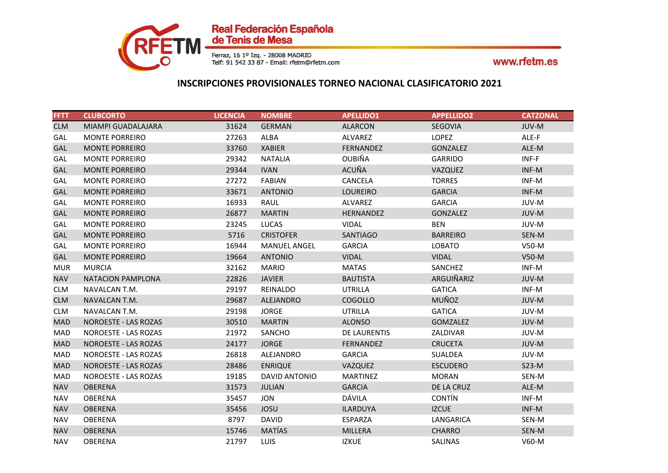

| <b>FFTT</b> | <b>CLUBCORTO</b>            | <b>LICENCIA</b> | <b>NOMBRE</b>        | <b>APELLIDO1</b> | <b>APPELLIDO2</b> | <b>CATZONAL</b> |
|-------------|-----------------------------|-----------------|----------------------|------------------|-------------------|-----------------|
| <b>CLM</b>  | MIAMPI GUADALAJARA          | 31624           | <b>GERMAN</b>        | <b>ALARCON</b>   | <b>SEGOVIA</b>    | JUV-M           |
| GAL         | <b>MONTE PORREIRO</b>       | 27263           | ALBA                 | ALVAREZ          | <b>LOPEZ</b>      | ALE-F           |
| GAL         | <b>MONTE PORREIRO</b>       | 33760           | <b>XABIER</b>        | FERNANDEZ        | GONZALEZ          | ALE-M           |
| GAL         | <b>MONTE PORREIRO</b>       | 29342           | <b>NATALIA</b>       | <b>OUBIÑA</b>    | <b>GARRIDO</b>    | INF-F           |
| <b>GAL</b>  | <b>MONTE PORREIRO</b>       | 29344           | <b>IVAN</b>          | ACUÑA            | VAZQUEZ           | INF-M           |
| GAL         | <b>MONTE PORREIRO</b>       | 27272           | FABIAN               | CANCELA          | <b>TORRES</b>     | INF-M           |
| GAL         | <b>MONTE PORREIRO</b>       | 33671           | <b>ANTONIO</b>       | <b>LOUREIRO</b>  | <b>GARCIA</b>     | INF-M           |
| GAL         | <b>MONTE PORREIRO</b>       | 16933           | <b>RAUL</b>          | ALVAREZ          | <b>GARCIA</b>     | JUV-M           |
| GAL         | <b>MONTE PORREIRO</b>       | 26877           | <b>MARTIN</b>        | <b>HERNANDEZ</b> | <b>GONZALEZ</b>   | JUV-M           |
| GAL         | <b>MONTE PORREIRO</b>       | 23245           | <b>LUCAS</b>         | <b>VIDAL</b>     | <b>BEN</b>        | JUV-M           |
| <b>GAL</b>  | <b>MONTE PORREIRO</b>       | 5716            | <b>CRISTOFER</b>     | <b>SANTIAGO</b>  | <b>BARREIRO</b>   | SEN-M           |
| GAL         | <b>MONTE PORREIRO</b>       | 16944           | <b>MANUEL ANGEL</b>  | <b>GARCIA</b>    | <b>LOBATO</b>     | V50-M           |
| GAL         | <b>MONTE PORREIRO</b>       | 19664           | <b>ANTONIO</b>       | <b>VIDAL</b>     | <b>VIDAL</b>      | V50-M           |
| <b>MUR</b>  | <b>MURCIA</b>               | 32162           | <b>MARIO</b>         | <b>MATAS</b>     | SANCHEZ           | INF-M           |
| <b>NAV</b>  | NATACION PAMPLONA           | 22826           | <b>JAVIER</b>        | <b>BAUTISTA</b>  | ARGUIÑARIZ        | JUV-M           |
| <b>CLM</b>  | NAVALCAN T.M.               | 29197           | REINALDO             | <b>UTRILLA</b>   | <b>GATICA</b>     | INF-M           |
| <b>CLM</b>  | NAVALCAN T.M.               | 29687           | ALEJANDRO            | COGOLLO          | MUÑOZ             | JUV-M           |
| <b>CLM</b>  | NAVALCAN T.M.               | 29198           | <b>JORGE</b>         | <b>UTRILLA</b>   | <b>GATICA</b>     | JUV-M           |
| <b>MAD</b>  | <b>NOROESTE - LAS ROZAS</b> | 30510           | <b>MARTIN</b>        | <b>ALONSO</b>    | <b>GOMZALEZ</b>   | JUV-M           |
| MAD         | NOROESTE - LAS ROZAS        | 21972           | SANCHO               | DE LAURENTIS     | ZALDIVAR          | JUV-M           |
| <b>MAD</b>  | <b>NOROESTE - LAS ROZAS</b> | 24177           | <b>JORGE</b>         | FERNANDEZ        | <b>CRUCETA</b>    | JUV-M           |
| MAD         | NOROESTE - LAS ROZAS        | 26818           | ALEJANDRO            | <b>GARCIA</b>    | SUALDEA           | JUV-M           |
| <b>MAD</b>  | <b>NOROESTE - LAS ROZAS</b> | 28486           | <b>ENRIQUE</b>       | VAZQUEZ          | <b>ESCUDERO</b>   | $S23-M$         |
| MAD         | <b>NOROESTE - LAS ROZAS</b> | 19185           | <b>DAVID ANTONIO</b> | <b>MARTINEZ</b>  | <b>MORAN</b>      | SEN-M           |
| <b>NAV</b>  | <b>OBERENA</b>              | 31573           | <b>JULIAN</b>        | <b>GARCIA</b>    | DE LA CRUZ        | ALE-M           |
| <b>NAV</b>  | <b>OBERENA</b>              | 35457           | <b>JON</b>           | DÁVILA           | <b>CONTÍN</b>     | INF-M           |
| <b>NAV</b>  | <b>OBERENA</b>              | 35456           | <b>JOSU</b>          | <b>ILARDUYA</b>  | <b>IZCUE</b>      | INF-M           |
| <b>NAV</b>  | OBERENA                     | 8797            | <b>DAVID</b>         | <b>ESPARZA</b>   | LANGARICA         | SEN-M           |
| <b>NAV</b>  | <b>OBERENA</b>              | 15746           | <b>MATÍAS</b>        | <b>MILLERA</b>   | <b>CHARRO</b>     | SEN-M           |
| <b>NAV</b>  | <b>OBERENA</b>              | 21797           | <b>LUIS</b>          | <b>IZKUE</b>     | <b>SALINAS</b>    | V60-M           |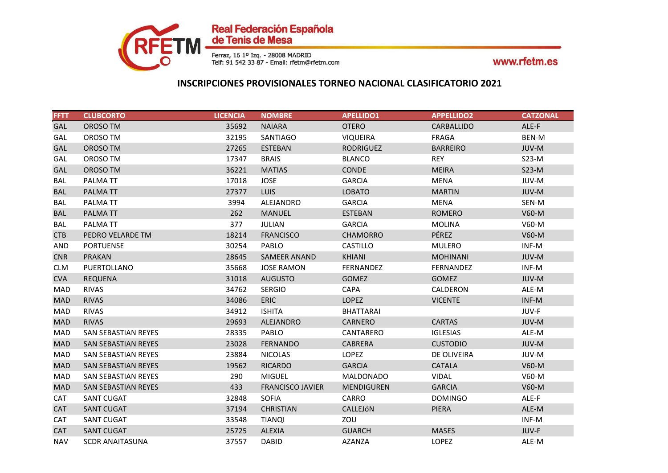

| <b>FFTT</b> | <b>CLUBCORTO</b>           | <b>LICENCIA</b> | <b>NOMBRE</b>           | <b>APELLIDO1</b>  | <b>APPELLIDO2</b> | <b>CATZONAL</b> |
|-------------|----------------------------|-----------------|-------------------------|-------------------|-------------------|-----------------|
| <b>GAL</b>  | OROSO TM                   | 35692           | <b>NAIARA</b>           | <b>OTERO</b>      | <b>CARBALLIDO</b> | ALE-F           |
| GAL         | OROSO TM                   | 32195           | SANTIAGO                | <b>VIQUEIRA</b>   | FRAGA             | BEN-M           |
| <b>GAL</b>  | OROSO TM                   | 27265           | <b>ESTEBAN</b>          | <b>RODRIGUEZ</b>  | <b>BARREIRO</b>   | JUV-M           |
| GAL         | OROSO TM                   | 17347           | <b>BRAIS</b>            | <b>BLANCO</b>     | <b>REY</b>        | $S23-M$         |
| <b>GAL</b>  | OROSO TM                   | 36221           | <b>MATIAS</b>           | <b>CONDE</b>      | <b>MEIRA</b>      | $S23-M$         |
| BAL         | PALMA TT                   | 17018           | <b>JOSE</b>             | <b>GARCIA</b>     | <b>MENA</b>       | JUV-M           |
| <b>BAL</b>  | PALMATT                    | 27377           | LUIS.                   | <b>LOBATO</b>     | <b>MARTIN</b>     | JUV-M           |
| <b>BAL</b>  | PALMA TT                   | 3994            | ALEJANDRO               | <b>GARCIA</b>     | <b>MENA</b>       | SEN-M           |
| <b>BAL</b>  | PALMATT                    | 262             | <b>MANUEL</b>           | <b>ESTEBAN</b>    | <b>ROMERO</b>     | V60-M           |
| BAL         | PALMATT                    | 377             | <b>JULIAN</b>           | <b>GARCIA</b>     | <b>MOLINA</b>     | V60-M           |
| <b>CTB</b>  | PEDRO VELARDE TM           | 18214           | <b>FRANCISCO</b>        | <b>CHAMORRO</b>   | PÉREZ             | V60-M           |
| <b>AND</b>  | <b>PORTUENSE</b>           | 30254           | PABLO                   | CASTILLO          | <b>MULERO</b>     | INF-M           |
| <b>CNR</b>  | <b>PRAKAN</b>              | 28645           | SAMEER ANAND            | <b>KHIANI</b>     | <b>MOHINANI</b>   | JUV-M           |
| <b>CLM</b>  | PUERTOLLANO                | 35668           | <b>JOSE RAMON</b>       | <b>FERNANDEZ</b>  | FERNANDEZ         | INF-M           |
| <b>CVA</b>  | <b>REQUENA</b>             | 31018           | <b>AUGUSTO</b>          | <b>GOMEZ</b>      | <b>GOMEZ</b>      | JUV-M           |
| MAD         | <b>RIVAS</b>               | 34762           | <b>SERGIO</b>           | <b>CAPA</b>       | CALDERON          | ALE-M           |
| <b>MAD</b>  | <b>RIVAS</b>               | 34086           | <b>ERIC</b>             | <b>LOPEZ</b>      | <b>VICENTE</b>    | INF-M           |
| MAD         | <b>RIVAS</b>               | 34912           | <b>ISHITA</b>           | <b>BHATTARAI</b>  |                   | JUV-F           |
| <b>MAD</b>  | <b>RIVAS</b>               | 29693           | <b>ALEJANDRO</b>        | <b>CARNERO</b>    | <b>CARTAS</b>     | JUV-M           |
| <b>MAD</b>  | <b>SAN SEBASTIAN REYES</b> | 28335           | PABLO                   | CANTARERO         | <b>IGLESIAS</b>   | ALE-M           |
| <b>MAD</b>  | <b>SAN SEBASTIAN REYES</b> | 23028           | <b>FERNANDO</b>         | CABRERA           | <b>CUSTODIO</b>   | JUV-M           |
| <b>MAD</b>  | <b>SAN SEBASTIAN REYES</b> | 23884           | <b>NICOLAS</b>          | <b>LOPEZ</b>      | DE OLIVEIRA       | JUV-M           |
| <b>MAD</b>  | <b>SAN SEBASTIAN REYES</b> | 19562           | <b>RICARDO</b>          | <b>GARCIA</b>     | <b>CATALA</b>     | V60-M           |
| MAD         | <b>SAN SEBASTIAN REYES</b> | 290             | <b>MIGUEL</b>           | MALDONADO         | <b>VIDAL</b>      | V60-M           |
| <b>MAD</b>  | SAN SEBASTIAN REYES        | 433             | <b>FRANCISCO JAVIER</b> | <b>MENDIGUREN</b> | <b>GARCIA</b>     | V60-M           |
| <b>CAT</b>  | <b>SANT CUGAT</b>          | 32848           | <b>SOFIA</b>            | CARRO             | <b>DOMINGO</b>    | ALE-F           |
| <b>CAT</b>  | <b>SANT CUGAT</b>          | 37194           | <b>CHRISTIAN</b>        | CALLEJÓN          | <b>PIERA</b>      | ALE-M           |
| <b>CAT</b>  | <b>SANT CUGAT</b>          | 33548           | <b>TIANQI</b>           | ZOU               |                   | INF-M           |
| <b>CAT</b>  | <b>SANT CUGAT</b>          | 25725           | <b>ALEXIA</b>           | <b>GUARCH</b>     | <b>MASES</b>      | JUV-F           |
| <b>NAV</b>  | <b>SCDR ANAITASUNA</b>     | 37557           | <b>DABID</b>            | <b>AZANZA</b>     | <b>LOPEZ</b>      | ALE-M           |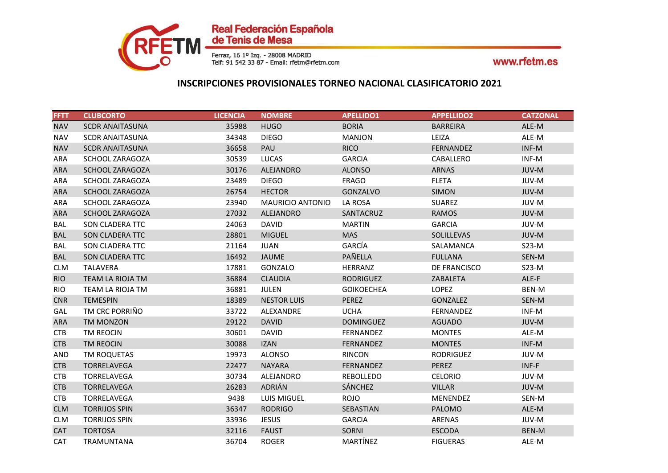

| <b>FFTT</b> | <b>CLUBCORTO</b>       | <b>LICENCIA</b> | <b>NOMBRE</b>           | <b>APELLIDO1</b>  | <b>APPELLIDO2</b> | <b>CATZONAL</b> |
|-------------|------------------------|-----------------|-------------------------|-------------------|-------------------|-----------------|
| <b>NAV</b>  | <b>SCDR ANAITASUNA</b> | 35988           | <b>HUGO</b>             | <b>BORIA</b>      | <b>BARREIRA</b>   | ALE-M           |
| <b>NAV</b>  | <b>SCDR ANAITASUNA</b> | 34348           | <b>DIEGO</b>            | <b>MANJON</b>     | LEIZA             | ALE-M           |
| <b>NAV</b>  | <b>SCDR ANAITASUNA</b> | 36658           | PAU                     | <b>RICO</b>       | FERNANDEZ         | INF-M           |
| ARA         | SCHOOL ZARAGOZA        | 30539           | <b>LUCAS</b>            | <b>GARCIA</b>     | CABALLERO         | INF-M           |
| <b>ARA</b>  | SCHOOL ZARAGOZA        | 30176           | ALEJANDRO               | <b>ALONSO</b>     | <b>ARNAS</b>      | JUV-M           |
| ARA         | <b>SCHOOL ZARAGOZA</b> | 23489           | <b>DIEGO</b>            | <b>FRAGO</b>      | <b>FLETA</b>      | JUV-M           |
| <b>ARA</b>  | <b>SCHOOL ZARAGOZA</b> | 26754           | <b>HECTOR</b>           | <b>GONZALVO</b>   | <b>SIMON</b>      | JUV-M           |
| <b>ARA</b>  | <b>SCHOOL ZARAGOZA</b> | 23940           | <b>MAURICIO ANTONIO</b> | LA ROSA           | <b>SUAREZ</b>     | JUV-M           |
| <b>ARA</b>  | SCHOOL ZARAGOZA        | 27032           | ALEJANDRO               | SANTACRUZ         | <b>RAMOS</b>      | JUV-M           |
| BAL         | SON CLADERA TTC        | 24063           | <b>DAVID</b>            | <b>MARTIN</b>     | <b>GARCIA</b>     | JUV-M           |
| <b>BAL</b>  | SON CLADERA TTC        | 28801           | <b>MIGUEL</b>           | <b>MAS</b>        | SOLILLEVAS        | JUV-M           |
| BAL         | <b>SON CLADERA TTC</b> | 21164           | <b>JUAN</b>             | GARCÍA            | SALAMANCA         | $S23-M$         |
| <b>BAL</b>  | SON CLADERA TTC        | 16492           | <b>JAUME</b>            | PAÑELLA           | <b>FULLANA</b>    | SEN-M           |
| <b>CLM</b>  | TALAVERA               | 17881           | GONZALO                 | <b>HERRANZ</b>    | DE FRANCISCO      | $S23-M$         |
| <b>RIO</b>  | TEAM LA RIOJA TM       | 36884           | <b>CLAUDIA</b>          | <b>RODRIGUEZ</b>  | ZABALETA          | ALE-F           |
| <b>RIO</b>  | TEAM LA RIOJA TM       | 36881           | JULEN                   | <b>GOIKOECHEA</b> | <b>LOPEZ</b>      | BEN-M           |
| <b>CNR</b>  | <b>TEMESPIN</b>        | 18389           | <b>NESTOR LUIS</b>      | <b>PEREZ</b>      | <b>GONZALEZ</b>   | SEN-M           |
| GAL         | TM CRC PORRIÑO         | 33722           | ALEXANDRE               | <b>UCHA</b>       | <b>FERNANDEZ</b>  | INF-M           |
| <b>ARA</b>  | TM MONZON              | 29122           | <b>DAVID</b>            | <b>DOMINGUEZ</b>  | <b>AGUADO</b>     | JUV-M           |
| <b>CTB</b>  | TM REOCIN              | 30601           | <b>DAVID</b>            | FERNANDEZ         | <b>MONTES</b>     | ALE-M           |
| <b>CTB</b>  | TM REOCIN              | 30088           | <b>IZAN</b>             | FERNANDEZ         | <b>MONTES</b>     | INF-M           |
| <b>AND</b>  | TM ROQUETAS            | 19973           | <b>ALONSO</b>           | <b>RINCON</b>     | <b>RODRIGUEZ</b>  | JUV-M           |
| <b>CTB</b>  | <b>TORRELAVEGA</b>     | 22477           | <b>NAYARA</b>           | <b>FERNANDEZ</b>  | <b>PEREZ</b>      | INF-F           |
| <b>CTB</b>  | <b>TORRELAVEGA</b>     | 30734           | ALEJANDRO               | REBOLLEDO         | <b>CELORIO</b>    | JUV-M           |
| <b>CTB</b>  | TORRELAVEGA            | 26283           | ADRIÁN                  | SÁNCHEZ           | <b>VILLAR</b>     | JUV-M           |
| <b>CTB</b>  | <b>TORRELAVEGA</b>     | 9438            | LUIS MIGUEL             | <b>ROJO</b>       | MENENDEZ          | SEN-M           |
| <b>CLM</b>  | <b>TORRIJOS SPIN</b>   | 36347           | <b>RODRIGO</b>          | <b>SEBASTIAN</b>  | <b>PALOMO</b>     | ALE-M           |
| <b>CLM</b>  | <b>TORRIJOS SPIN</b>   | 33936           | <b>JESUS</b>            | <b>GARCIA</b>     | ARENAS            | JUV-M           |
| <b>CAT</b>  | <b>TORTOSA</b>         | 32116           | <b>FAUST</b>            | SORNI             | <b>ESCODA</b>     | <b>BEN-M</b>    |
| CAT         | <b>TRAMUNTANA</b>      | 36704           | <b>ROGER</b>            | MARTÍNEZ          | <b>FIGUERAS</b>   | ALE-M           |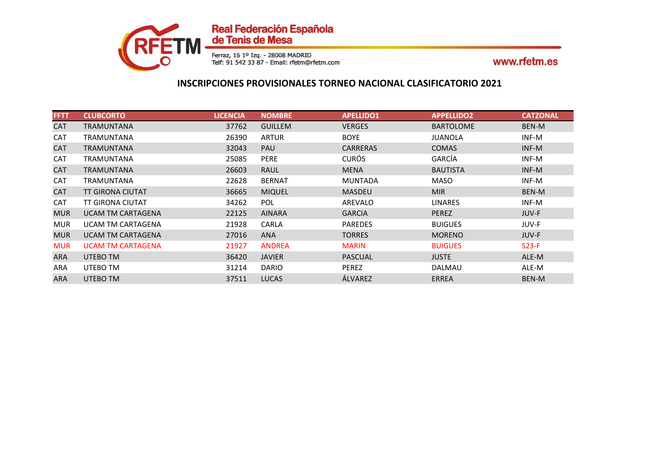

| <b>FFTT</b> | <b>CLUBCORTO</b>         | <b>LICENCIA</b> | <b>NOMBRE</b>  | <b>APELLIDO1</b> | <b>APPELLIDO2</b> | <b>CATZONAL</b> |
|-------------|--------------------------|-----------------|----------------|------------------|-------------------|-----------------|
| <b>CAT</b>  | <b>TRAMUNTANA</b>        | 37762           | <b>GUILLEM</b> | <b>VERGES</b>    | <b>BARTOLOME</b>  | BEN-M           |
| <b>CAT</b>  | <b>TRAMUNTANA</b>        | 26390           | <b>ARTUR</b>   | <b>BOYE</b>      | JUANOLA           | INF-M           |
| <b>CAT</b>  | <b>TRAMUNTANA</b>        | 32043           | <b>PAU</b>     | <b>CARRERAS</b>  | <b>COMAS</b>      | INF-M           |
| <b>CAT</b>  | <b>TRAMUNTANA</b>        | 25085           | <b>PERE</b>    | <b>CURÓS</b>     | GARCÍA            | INF-M           |
| <b>CAT</b>  | <b>TRAMUNTANA</b>        | 26603           | RAUL           | <b>MENA</b>      | <b>BAUTISTA</b>   | INF-M           |
| <b>CAT</b>  | TRAMUNTANA               | 22628           | <b>BERNAT</b>  | MUNTADA          | <b>MASO</b>       | INF-M           |
| <b>CAT</b>  | <b>TT GIRONA CIUTAT</b>  | 36665           | <b>MIQUEL</b>  | <b>MASDEU</b>    | <b>MIR</b>        | BEN-M           |
| <b>CAT</b>  | <b>TT GIRONA CIUTAT</b>  | 34262           | <b>POL</b>     | AREVALO          | <b>LINARES</b>    | INF-M           |
| <b>MUR</b>  | <b>UCAM TM CARTAGENA</b> | 22125           | <b>AINARA</b>  | <b>GARCIA</b>    | <b>PEREZ</b>      | JUV-F           |
| <b>MUR</b>  | <b>UCAM TM CARTAGENA</b> | 21928           | CARLA          | <b>PAREDES</b>   | <b>BUIGUES</b>    | JUV-F           |
| <b>MUR</b>  | <b>UCAM TM CARTAGENA</b> | 27016           | <b>ANA</b>     | <b>TORRES</b>    | <b>MORENO</b>     | JUV-F           |
| <b>MUR</b>  | <b>UCAM TM CARTAGENA</b> | 21927           | <b>ANDREA</b>  | <b>MARIN</b>     | <b>BUIGUES</b>    | $S23-F$         |
| <b>ARA</b>  | UTEBO TM                 | 36420           | <b>JAVIER</b>  | PASCUAL          | <b>JUSTE</b>      | ALE-M           |
| ARA         | UTEBO TM                 | 31214           | <b>DARIO</b>   | <b>PEREZ</b>     | DALMAU            | ALE-M           |
| <b>ARA</b>  | UTEBO TM                 | 37511           | <b>LUCAS</b>   | ÁLVAREZ          | ERREA             | <b>BEN-M</b>    |